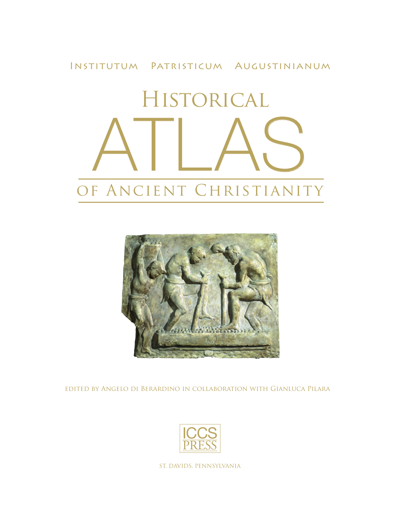# Institutum Patristicum Augustinianum Historical ATLAS OF ANCIENT CHRISTIANITY



edited by Angelo di Berardino in collaboration with Gianluca Pilara



ST. DAVIDS, PENNSYLVANIA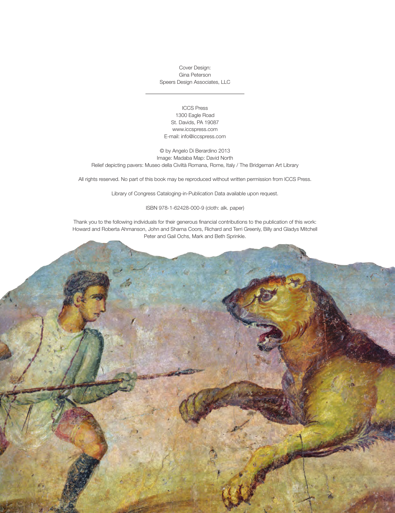Cover Design: Gina Peterson Speers Design Associates, LLC

#### ICCS Press 1300 Eagle Road St. Davids, PA 19087 www.iccspress.com E-mail: info@iccspress.com

© by Angelo Di Berardino 2013 Image: Madaba Map: David North Relief depicting pavers: Museo della Civiltà Romana, Rome, Italy / The Bridgeman Art Library

All rights reserved. No part of this book may be reproduced without written permission from ICCS Press.

Library of Congress Cataloging-in-Publication Data available upon request.

#### ISBN 978-1-62428-000-9 (cloth: alk. paper)

Thank you to the following individuals for their generous financial contributions to the publication of this work: Howard and Roberta Ahmanson, John and Sharna Coors, Richard and Terri Greenly, Billy and Gladys Mitchell Peter and Gail Ochs, Mark and Beth Sprinkle.

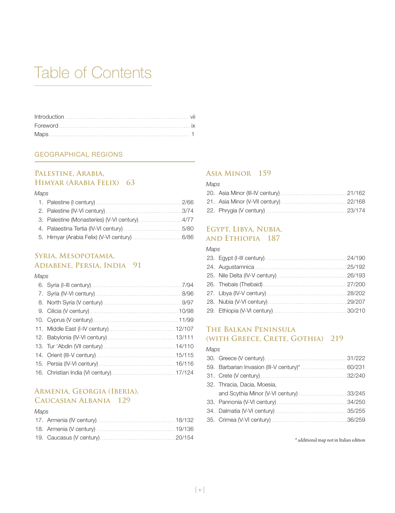# Table of Contents

#### GEOGRAPHICAL REGIONS

## **Palestine, Arabia, Himyar (Arabia Felix) 63**

#### *Maps*

# **Syria, Mesopotamia, Adiabene, Persia, India 91**

#### *Maps*

# **Armenia, Georgia (Iberia), Caucasian Albania 129**

#### *Maps*

## **Asia Minor 159**

#### *Maps*

## **Egypt, Libya, Nubia, and Ethiopia 187**

#### *Maps*

# **The Balkan Peninsula (with Greece, Crete, Gothia) 219**

#### *Maps*

| 32. Thracia, Dacia, Moesia,             |  |
|-----------------------------------------|--|
| and Scythia Minor (V-VI century) 33/245 |  |
|                                         |  |
|                                         |  |
|                                         |  |
|                                         |  |

\* additional map not in Italian edition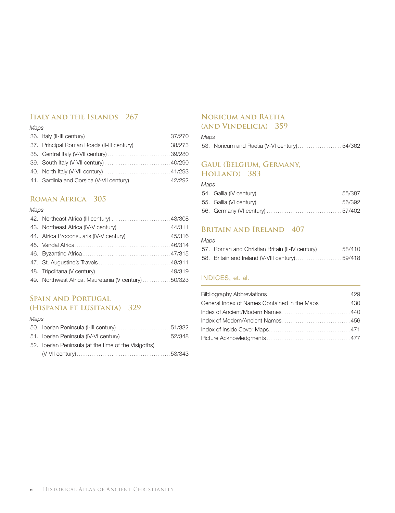# **Italy and the Islands 267**

### *Maps*

| 37. Principal Roman Roads (II-III century)38/273 |  |
|--------------------------------------------------|--|
|                                                  |  |
|                                                  |  |
|                                                  |  |
| 41. Sardinia and Corsica (V-VII century)  42/292 |  |
|                                                  |  |

# **Roman Africa 305**

#### *Maps*

| 43. Northeast Africa (IV-V century)  44/311          |  |
|------------------------------------------------------|--|
| 44. Africa Proconsularis (IV-V century)  45/316      |  |
|                                                      |  |
|                                                      |  |
|                                                      |  |
|                                                      |  |
| 49. Northwest Africa, Mauretania (V century)  50/323 |  |

# **Spain and Portugal (Hispania et Lusitania) 329**

#### *Maps*

| 52. Iberian Peninsula (at the time of the Visigoths) |  |
|------------------------------------------------------|--|
|                                                      |  |

# **Noricum and Raetia**

# **(and Vindelicia) 359**

#### *Maps*

53. Noricum and Raetia (V-VI century)..........................54/362

# **Gaul (Belgium, Germany, Holland) 383**

#### *Maps*

# **Britain and Ireland 407**

#### *Maps*

| 57. Roman and Christian Britain (II-IV century) 58/410 |  |
|--------------------------------------------------------|--|
|                                                        |  |

### INDICES, et. al.

| General Index of Names Contained in the Maps 430 |  |
|--------------------------------------------------|--|
|                                                  |  |
|                                                  |  |
|                                                  |  |
|                                                  |  |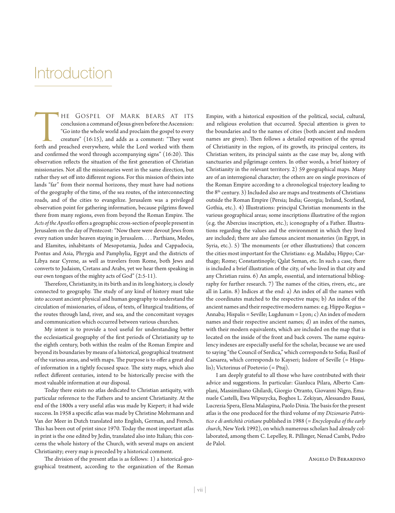# **Introduction**

HE GOSPEL OF MARK BEARS AT ITS<br>conclusion a command of Jesus given before the Ascension:<br>"Go into the whole world and proclaim the gospel to every<br>creature" (16:15), and adds as a comment: "They went<br>forth and preached eve conclusion a command of Jesus given before the Ascension: "Go into the whole world and proclaim the gospel to every creature" (16:15), and adds as a comment: "They went forth and preached everywhere, while the Lord worked with them and confirmed the word through accompanying signs" (16:20). This observation reflects the situation of the first generation of Christian missionaries. Not all the missionaries went in the same direction, but rather they set off into different regions. For this mission of theirs into lands "far" from their normal horizons, they must have had notions of the geography of the time, of the sea routes, of the interconnecting roads, and of the cities to evangelize. Jerusalem was a privileged observation point for gathering information, because pilgrims flowed there from many regions, even from beyond the Roman Empire. The *Acts of the Apostles* offers a geographic cross-section of people present in Jerusalem on the day of Pentecost: "Now there were devout Jews from every nation under heaven staying in Jerusalem. . . . Parthians, Medes, and Elamites, inhabitants of Mesopotamia, Judea and Cappadocia, Pontus and Asia, Phrygia and Pamphylia, Egypt and the districts of Libya near Cyrene, as well as travelers from Rome, both Jews and converts to Judaism, Cretans and Arabs, yet we hear them speaking in our own tongues of the mighty acts of God" (2:5-11).

Therefore, Christianity, in its birth and in its long history, is closely connected to geography. The study of any kind of history must take into account ancient physical and human geography to understand the circulation of missionaries, of ideas, of texts, of liturgical traditions, of the routes through land, river, and sea, and the concomitant voyages and communication which occurred between various churches.

My intent is to provide a tool useful for understanding better the ecclesiastical geography of the first periods of Christianity up to the eighth century, both within the realm of the Roman Empire and beyond its boundaries by means of a historical, geographical treatment of the various areas, and with maps. The purpose is to offer a great deal of information in a tightly focused space. The sixty maps, which also reflect different centuries, intend to be historically precise with the most valuable information at our disposal.

Today there exists no atlas dedicated to Christian antiquity, with particular reference to the Fathers and to ancient Christianity. At the end of the 1800s a very useful atlas was made by Kiepert; it had wide success. In 1958 a specific atlas was made by Christine Mohrmann and Van der Meer in Dutch translated into English, German, and French. This has been out of print since 1970. Today the most important atlas in print is the one edited by Jedin, translated also into Italian; this concerns the whole history of the Church, with several maps on ancient Christianity; every map is preceded by a historical comment.

The division of the present atlas is as follows: 1) a historical-geographical treatment, according to the organization of the Roman

Empire, with a historical exposition of the political, social, cultural, and religious evolution that occurred. Special attention is given to the boundaries and to the names of cities (both ancient and modern names are given). Then follows a detailed exposition of the spread of Christianity in the region, of its growth, its principal centers, its Christian writers, its principal saints as the case may be, along with sanctuaries and pilgrimage centers. In other words, a brief history of Christianity in the relevant territory. 2) 59 geographical maps. Many are of an interregional character; the others are on single provinces of the Roman Empire according to a chronological trajectory leading to the  $8<sup>th</sup>$  century. 3) Included also are maps and treatments of Christians outside the Roman Empire (Persia; India; Georgia; Ireland, Scotland, Gothia, etc.). 4) Illustrations: principal Christian monuments in the various geographical areas; some inscriptions illustrative of the region (e.g. the Abercius inscription, etc.); iconography of a Father. Illustrations regarding the values and the environment in which they lived are included; there are also famous ancient monasteries (in Egypt, in Syria, etc.). 5) The monuments (or other illustrations) that concern the cities most important for the Christians: e.g. Madaba; Hippo; Carthage; Rome; Constantinople; Qalat Seman, etc. In such a case, there is included a brief illustration of the city, of who lived in that city and any Christian ruins. 6) An ample, essential, and international bibliography for further research. 7) The names of the cities, rivers, etc., are all in Latin. 8) Indices at the end: a) An index of all the names with the coordinates matched to the respective maps; b) An index of the ancient names and their respective modern names: e.g. Hippo Regius = Annaba; Hispalis = Seville; Lugdunum = Lyon; c) An index of modern names and their respective ancient names; d) an index of the names, with their modern equivalents, which are included on the map that is located on the inside of the front and back covers. The name equivalency indexes are especially useful for the scholar, because we are used to saying "the Council of Serdica," which corresponds to Sofia; Basil of Caesarea, which corresponds to Kayseri; Isidore of Seville (= Hispalis); Victorinus of Poetovio (= Ptuj).

I am deeply grateful to all those who have contributed with their advice and suggestions. In particular: Gianluca Pilara, Alberto Camplani, Massimiliano Ghilardi, Giorgio Otranto, Giovanni Nigro, Emanuele Castelli, Ewa Wipszycka, Boghos L. Zekiyan, Alessandro Bausi, Lucrezia Spera, Elena Malaspina, Paolo Dinia. The basis for the present atlas is the one produced for the third volume of my *Dizionario Patristico e di antichità cristiane* published in 1988 (= *Encyclopedia of the early church*, New York 1992), on which numerous scholars had already collaborated, among them C. Lepelley, R. Pillinger, Nenad Cambi, Pedro de Palol.

Angelo Di Berardino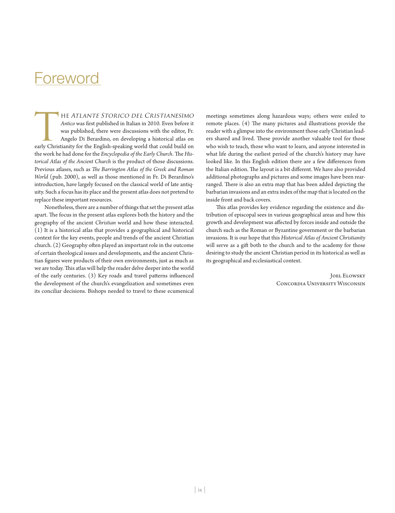# Foreword

The Atlante Storico del Cristianesimo *Antico* was first published in Italian in 2010. Even before it was published, there were discussions with the editor, Fr. Angelo Di Berardino, on developing a historical atlas on early Christianity for the English-speaking world that could build on the work he had done for the *Encyclopedia of the Early Church*. The *Historical Atlas of the Ancient Church* is the product of those discussions. Previous atlases, such as *The Barrington Atlas of the Greek and Roman World* (pub. 2000), as well as those mentioned in Fr. Di Berardino's introduction, have largely focused on the classical world of late antiquity. Such a focus has its place and the present atlas does not pretend to replace these important resources.

Nonetheless, there are a number of things that set the present atlas apart. The focus in the present atlas explores both the history and the geography of the ancient *Christian* world and how these interacted. (1) It is a historical atlas that provides a geographical and historical context for the key events, people and trends of the ancient Christian church. (2) Geography often played an important role in the outcome of certain theological issues and developments, and the ancient Christian figures were products of their own environments, just as much as we are today. This atlas will help the reader delve deeper into the world of the early centuries. (3) Key roads and travel patterns influenced the development of the church's evangelization and sometimes even its conciliar decisions. Bishops needed to travel to these ecumenical

meetings sometimes along hazardous ways; others were exiled to remote places. (4) The many pictures and illustrations provide the reader with a glimpse into the environment those early Christian leaders shared and lived. These provide another valuable tool for those who wish to teach, those who want to learn, and anyone interested in what life during the earliest period of the church's history may have looked like. In this English edition there are a few differences from the Italian edition. The layout is a bit different. We have also provided additional photographs and pictures and some images have been rearranged. There is also an extra map that has been added depicting the barbarian invasions and an extra index of the map that is located on the inside front and back covers.

This atlas provides key evidence regarding the existence and distribution of episcopal sees in various geographical areas and how this growth and development was affected by forces inside and outside the church such as the Roman or Byzantine government or the barbarian invasions. It is our hope that this *Historical Atlas of Ancient Christianity* will serve as a gift both to the church and to the academy for those desiring to study the ancient Christian period in its historical as well as its geographical and ecclesiastical context.

> Joel Elowsky Concordia University Wisconsin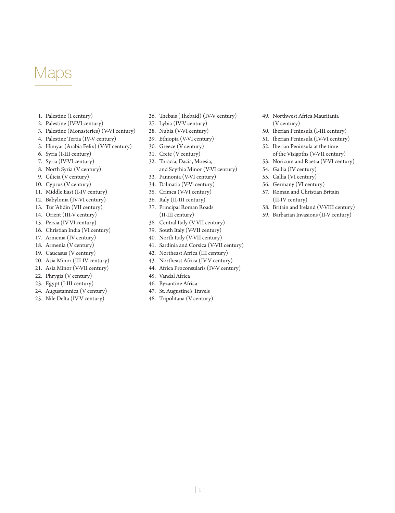# Maps

- 1. Palestine (I century)
- 2. Palestine (IV-VI century)
- 3. Palestine (Monasteries) (V-VI century)
- 4. Palestine Tertia (IV-V century)
- 5. Himyar (Arabia Felix) (V-VI century)
- 6. Syria (I-III century)
- 7. Syria (IV-VI century)
- 8. North Syria (V century)
- 9. Cilicia (V century)
- 10. Cyprus (V century)
- 11. Middle East (I-IV century)
- 12. Babylonia (IV-VI century)
- 13. Tur 'Abdin (VII century)
- 14. Orient (III-V century)
- 15. Persia (IV-VI century)
- 16. Christian India (VI century)
- 17. Armenia (IV century)
- 18. Armenia (V century)
- 19. Caucasus (V century)
- 20. Asia Minor (III-IV century)
- 21. Asia Minor (V-VII century)
- 22. Phrygia (V century)
- 23. Egypt (I-III century)
- 24. Augustamnica (V century)
- 25. Nile Delta (IV-V century)
- 26. Thebais (Thebaid) (IV-V century)
- 27. Lybia (IV-V century)
- 28. Nubia (V-VI century)
- 29. Ethiopia (V-VI century)
- 30. Greece (V century)
- 31. Crete (V century)
- 32. Thracia, Dacia, Moesia, and Scythia Minor (V-VI century)
- 33. Pannonia (V-VI century)
- 34. Dalmatia (V-Vi century)
- 35. Crimea (V-VI century)
- 36. Italy (II-III century)
- 37. Principal Roman Roads (II-III century)
- 38. Central Italy (V-VII century)
- 39. South Italy (V-VII century)
- 40. North Italy (V-VII century)
- 41. Sardinia and Corsica (V-VII century)
- 42. Northeast Africa (III century)
- 43. Northeast Africa (IV-V century)
- 44. Africa Proconsularis (IV-V century)
- 45. Vandal Africa
- 46. Byzantine Africa
- 47. St. Augustine's Travels
- 48. Tripolitana (V century)
- 49. Northwest Africa Mauritania (V century)
- 50. Iberian Peninsula (I-III century)
- 51. Iberian Peninsula (IV-VI century)
- 52. Iberian Peninsula at the time of the Visigoths (V-VII century)
- 53. Noricum and Raetia (V-VI century)
- 54. Gallia (IV century)
- 55. Gallia (VI century)
- 56. Germany (VI century)
- 57. Roman and Christian Britain (II-IV century)
- 58. Britain and Ireland (V-VIII century)
- 59. Barbarian Invasions (II-V century)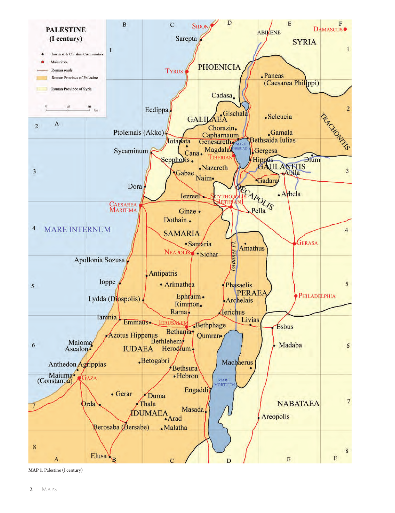

MAP 1. Palestine (I century)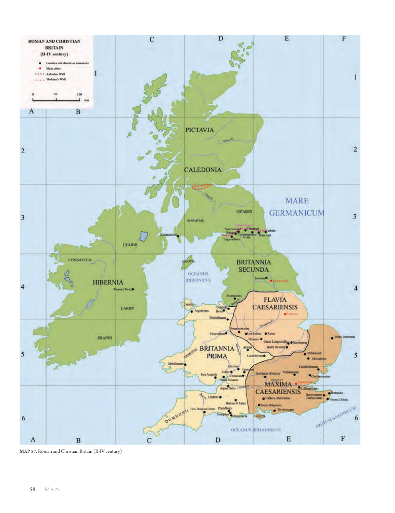

MAP 57. Roman and Christian Britain (II-IV century)